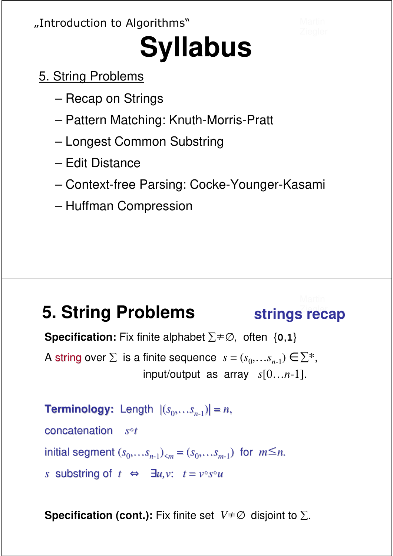#### "Introduction to Algorithms"

# **Syllabus**

- 5. String Problems
	- Recap on Strings
	- Pattern Matching: Knuth-Morris-Pratt
	- Longest Common Substring
	- Edit Distance
	- Context-free Parsing: Cocke-Younger-Kasami
	- Huffman Compression

### **5. String Problems** strings recap

**Specification:** Fix finite alphabet  $\Sigma \neq \emptyset$ , often  $\{0,1\}$ A string over  $\Sigma$  is a finite sequence  $s = (s_0, \ldots s_{n-1}) \in \Sigma^*$ , input/output as array *s*[0…*n*-1].

**Terminology:** Length  $|(s_0,...s_{n-1})|=n$ , concatenation *s*◦*t*  $initial$  segment  $(s_0, \ldots s_{n-1})_{\le m} = (s_0, \ldots s_{m-1})$  for  $m \le n$ . *s* substring of  $t \Leftrightarrow \exists u, v$ :  $t = v \circ s \circ u$ 

**Specification (cont.):** Fix finite set  $V \neq \emptyset$  disjoint to  $\Sigma$ .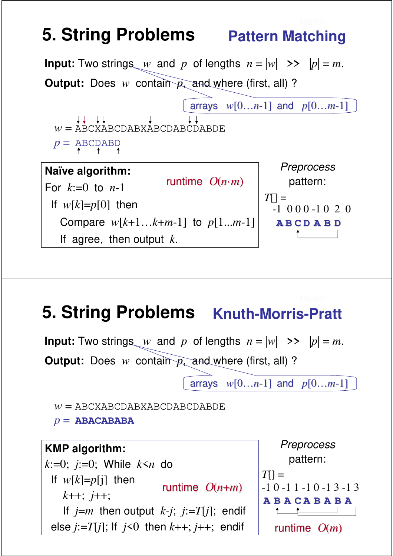# **5. String Problems** Pattern Matching



### **5. String Problems Knuth-Morris-Pratt**

**Input:** Two strings *w* and *p* of lengths  $n = |w|$  >>  $|p| = m$ . **Output:** Does *w* contain *p*, and where (first, all) ?

arrays *w*[0…*n*-1] and *p*[0…*m*-1]

*w* = ABCXABCDABXABCDABCDABDE

*p* = **ABACABABA**

runtime O(*n*·*m*) **Naïve algorithm: KMP algorithm:** For *k*:=0 to *n*-1 *k*:=0; *j*:=0; While *k*<*n* do If  $w[k]=p[j]$  then Compare *w*[*k*+1…*k*+*m*-1] to *p*[1...*m*-1] *k*++; *j*++; If  $j-m$  iften output  $\kappa$ -*j*, If *j*=*m* then output *k-j*; *j*:=*T*[*j*]; endif else  $j:=T[j]$ ; If  $j<0$  then  $k++$ ;  $j++$ ; endif **A B A A B A C B A**  $T[] =$ runtime  $O(n+m)$  -1 0 -1 1 -1 0 -1 3 -1 3 **Preprocess** pattern: runtime O(*m*)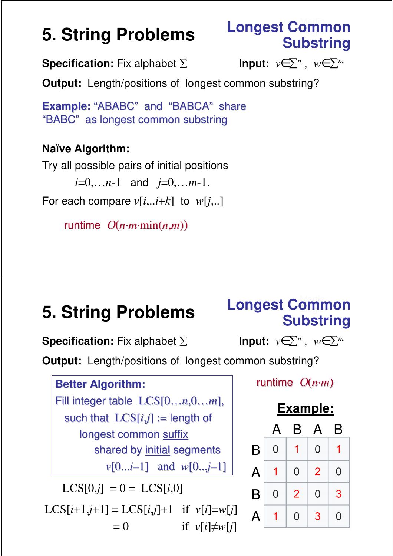# **Longest Common<br>Substring**

**Specification:** Fix alphabet ∑

Input:  $v \in \sum^n$ ,  $w \in \sum^m$ 

**Output:** Length/positions of longest common substring?

**Example:** "ABABC" and "BABCA" share "BABC" as longest common substring

#### **Naïve Algorithm:**

Try all possible pairs of initial positions *i*=0,…*n*-1 and *j*=0,…*m*-1. For each compare  $v[i...i+k]$  to  $w[i...]$ 

runtime O(*n·m·*min(*n*,*m*))

# **Substring 5. String Problems**

### Martin **Longest Common**

**Specification:** Fix alphabet ∑

**lnput:**  $v \in \sum^n$ ,  $w \in \sum^m$ 

**Output:** Length/positions of longest common substring?

### **Best Algorithm: Better Algorithm:** Fill integer table LCS[0...*n*,0...*m*], such that  $LCS[i,j] :=$  length of longest common suffix shared by initial segments *v*[0...*i*–1] and *w*[0...*j*–1]  $LCS[0,j] = 0 = LCS[i,0]$

 $LCS[i+1,j+1] = LCS[i,j]+1$  if  $v[i]=w[i]$  $= 0$  if  $v[i] \neq w[i]$ 

#### runtime O(*n+m*) *n·m*)

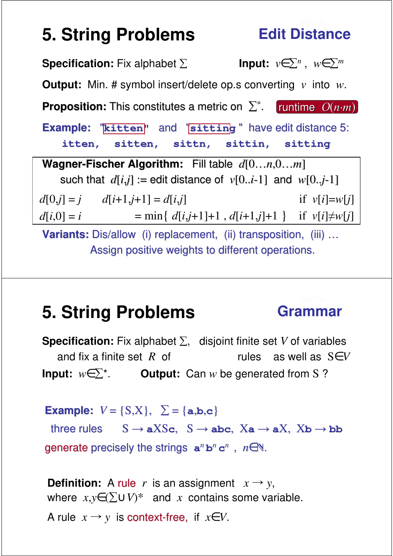## **Edit Distance**

**Specification:** Fix alphabet ∑ Input:  $v \in \sum^n$ ,  $w \in \sum^m$ **Output:** Min. # symbol insert/delete op.s converting *v* into *w*. **Example:** "**kitten"** and "**sitting** " have edit distance 5: **itten, sitten, sittn, sittin, sitting Variants:** Dis/allow (i) replacement, (ii) transposition, (iii) ... Assign positive weights to different operations. **Proposition:** This constitutes a metric on  $\sum^*$ . runtime  $O(n \cdot m)$ **Wagner-Fischer Algorithm:** Fill table *d*[0…*n*,0…*m*] such that  $d[i,j] :=$  edit distance of  $v[0..i-1]$  and  $w[0..j-1]$  $d[0,j] = j$   $d[i+1,j+1] = d[i,j]$  if  $v[i] = w[j]$  $=$  min{  $d[i,j+1]+1$ ,  $d[i+1,j]+1$ } if  $v[i]\neq w[j]$  $d[i,0] = i$ 

### **5. String Problems** Grammar

**Specification:** Fix alphabet  $\Sigma$ , disjoint finite set *V* of variables and fix a finite set *R* of context-free rules as well as  $S \in V$ **Input:**  $w \in \sum^*$ . **Output:** Can *w* be generated from S ?

**Example:**  $V = \{S, X\}, \Sigma = \{a, b, c\}$ 

three rules  $S \rightarrow aXSc$ ,  $S \rightarrow abc$ ,  $Xa \rightarrow aX$ ,  $Xb \rightarrow bb$ generate precisely the strings  $a^n b^n c^n$ ,  $n \in \mathbb{N}$ .

**Definition:** A rule *r* is an assignment  $x \rightarrow y$ , where  $x,y \in (\sum \cup V)^*$  and *x* contains some variable. A rule  $x \rightarrow y$  is context-free, if  $x \in V$ .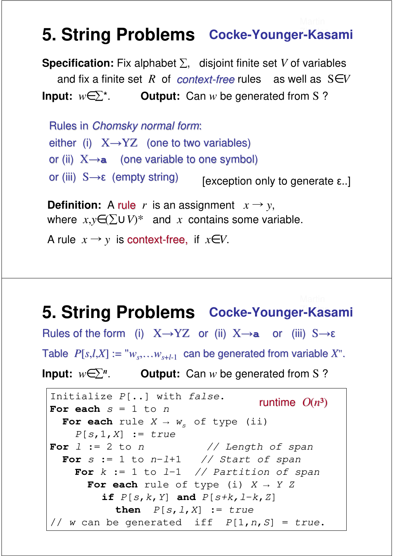### **5. String Problems** Cocke-Younger-Kasami

**Specification:** Fix alphabet  $\Sigma$ , disjoint finite set *V* of variables and fix a finite set R of context-free rules as well as  $S \in V$ **Input:**  $w \in \sum^*$ . **Output:** Can *w* be generated from S ?

Rules in Chomsky normal form: either (i)  $X \rightarrow YZ$  (one to two variables) or (ii)  $X \rightarrow a$  (one variable to one symbol) or (iii) S→ε (empty string) [exception only to generate ε..]

**Definition:** A rule *r* is an assignment  $x \rightarrow y$ , where  $x,y \in (\sum \cup V)^*$  and *x* contains some variable.

A rule  $x \rightarrow y$  is context-free, if  $x \in V$ .

### **5. String Problems** Cocke-Younger-Kasami

Figure of the form  $\begin{pmatrix} 0 \\ 4 \end{pmatrix}$  as  $\begin{pmatrix} 0 \\ 0 \end{pmatrix}$  as  $\begin{pmatrix} 0 \\ 4 \end{pmatrix}$  of  $\begin{pmatrix} 0 \\ 0 \end{pmatrix}$  of  $\begin{pmatrix} 0 \\ 0 \end{pmatrix}$ Table  $P[s,l,X] := "w_s, \ldots w_{s+l-1}$  can be generated from variable *X*". **Input:**  $w \in \sum^n$ . **Output:** Can *w* be generated from S ? Rules of the form (i) X→YZ or (ii) X→**a** or (iii) S→ε

```
Initialize P[..] with false.
For each s = 1 to nFor each rule X \to w of type (ii)
    P[s, 1, X] := trueFor l := 2 to n \frac{1}{l} Length of span
 For s := 1 to n-l+1 // Start of span
    For k := 1 to l-1 // Partition of span
      For each rule of type (i) X \rightarrow Y Zif P[s, k, Y] and P[s+k, l-k, Z]then P[s, l, X] := true// w can be generated iff P[1,n,S] = true.
                                  runtime O(n^3)
```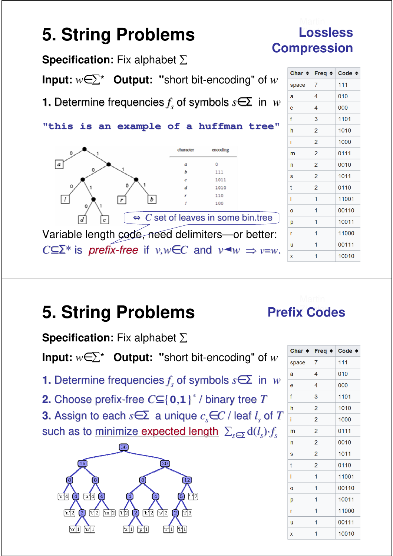

**Specification:** Fix alphabet  $\Sigma$ 

**Input:**  $w \in \Sigma^*$  **Output: "**short bit-encoding" of *w* 

**1.** Determine frequencies *f <sup>s</sup>* of symbols *s*∈Σ in *w*

**2.** Choose prefix-free *C*⊆{**0**,**1**} \* / binary tree *T*

**3.** Assign to each *s*∈Σ a unique *cs*∈*C* / leaf *l <sup>s</sup>* of *T* such as to <u>minimize expected length</u>  $\sum_{s \in \Sigma} \mathrm{d}(l_s) {\cdot} f_s$ 



| Char $\div$ |                | Freq $\div$ Code $\div$ |
|-------------|----------------|-------------------------|
| space       | 7              | 111                     |
| a           | 4              | 010                     |
| e           | 4              | 000                     |
| f           | 3              | 1101                    |
| h           | $\overline{a}$ | 1010                    |
| i           | $\overline{2}$ | 1000                    |
| m           | $\overline{2}$ | 0111                    |
| n           | $\overline{c}$ | 0010                    |
| S           | 2              | 1011                    |
| t           | $\overline{c}$ | 0110                    |
| I           | 1              | 11001                   |
| Ō           | 1              | 00110                   |
| p           | 1              | 10011                   |
| r           | 1              | 11000                   |
| ū           | 1              | 00111                   |
| X           | 1              | 10010                   |

**Prefix Codes**